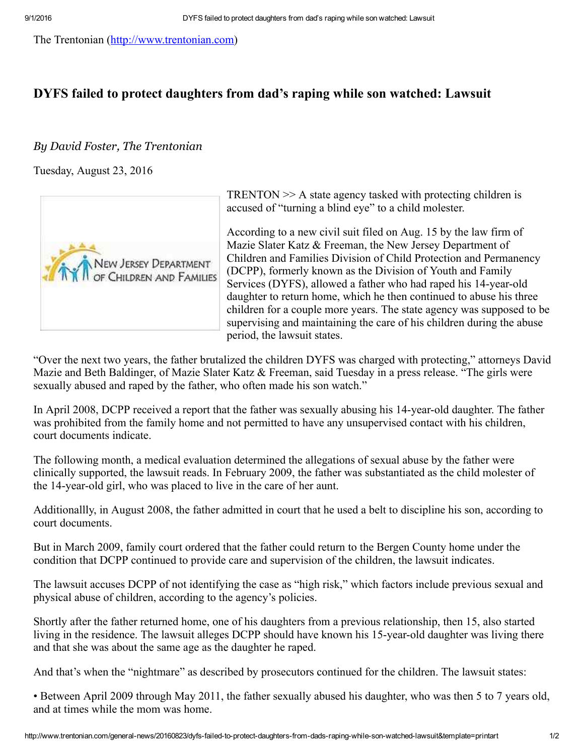The Trentonian ([http://www.trentonian.com](http://www.trentonian.com/))

## DYFS failed to protect daughters from dad's raping while son watched: Lawsuit

## By David Foster, The Trentonian

Tuesday, August 23, 2016



"Over the next two years, the father brutalized the children DYFS was charged with protecting," attorneys David Mazie and Beth Baldinger, of Mazie Slater Katz & Freeman, said Tuesday in a press release. "The girls were sexually abused and raped by the father, who often made his son watch."

In April 2008, DCPP received a report that the father was sexually abusing his 14-year-old daughter. The father was prohibited from the family home and not permitted to have any unsupervised contact with his children, court documents indicate.

The following month, a medical evaluation determined the allegations of sexual abuse by the father were clinically supported, the lawsuit reads. In February 2009, the father was substantiated as the child molester of the 14-year-old girl, who was placed to live in the care of her aunt.

Additionallly, in August 2008, the father admitted in court that he used a belt to discipline his son, according to court documents.

But in March 2009, family court ordered that the father could return to the Bergen County home under the condition that DCPP continued to provide care and supervision of the children, the lawsuit indicates.

The lawsuit accuses DCPP of not identifying the case as "high risk," which factors include previous sexual and physical abuse of children, according to the agency's policies.

Shortly after the father returned home, one of his daughters from a previous relationship, then 15, also started living in the residence. The lawsuit alleges DCPP should have known his 15-year-old daughter was living there and that she was about the same age as the daughter he raped.

And that's when the "nightmare" as described by prosecutors continued for the children. The lawsuit states:

• Between April 2009 through May 2011, the father sexually abused his daughter, who was then 5 to 7 years old, and at times while the mom was home.